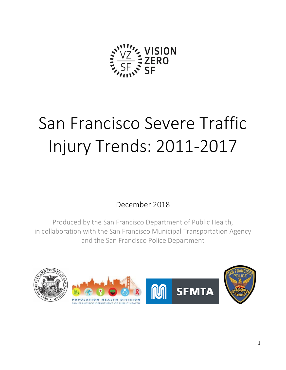

# San Francisco Severe Traffic Injury Trends: 2011-2017

## December 2018

Produced by the San Francisco Department of Public Health, in collaboration with the San Francisco Municipal Transportation Agency and the San Francisco Police Department



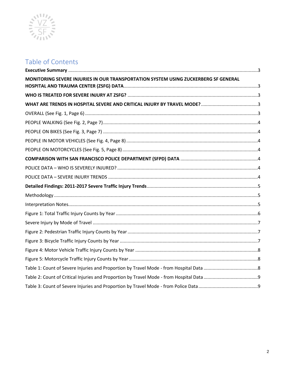

# Table of Contents

<span id="page-1-0"></span>

| MONITORING SEVERE INJURIES IN OUR TRANSPORTATION SYSTEM USING ZUCKERBERG SF GENERAL |  |
|-------------------------------------------------------------------------------------|--|
|                                                                                     |  |
|                                                                                     |  |
|                                                                                     |  |
|                                                                                     |  |
|                                                                                     |  |
|                                                                                     |  |
|                                                                                     |  |
|                                                                                     |  |
|                                                                                     |  |
|                                                                                     |  |
|                                                                                     |  |
|                                                                                     |  |
|                                                                                     |  |
|                                                                                     |  |
|                                                                                     |  |
|                                                                                     |  |
|                                                                                     |  |
|                                                                                     |  |
|                                                                                     |  |
|                                                                                     |  |
|                                                                                     |  |
|                                                                                     |  |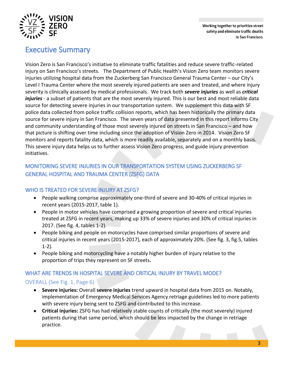Working together to prioritize street safety and eliminate traffic deaths in San Francisco.



## Executive Summary

Vision Zero is San Francisco's initiative to eliminate traffic fatalities and reduce severe traffic-related injury on San Francisco's streets.The Department of Public Health's Vision Zero team monitors severe injuries utilizing hospital data from the Zuckerberg San Francisco General Trauma Center – our City's Level I Trauma Center where the most severely injured patients are seen and treated, and where injury severity is clinically assessed by medical professionals. We track both *severe injuries* as well as *critical injuries* - a subset of patients that are the most severely injured. This is our best and most reliable data source for detecting severe injuries in our transportation system. We supplement this data with SF police data collected from police traffic collision reports, which has been historically the primary data source for severe injury in San Francisco. The seven years of data presented in this report informs City and community understanding of those most severely injured on streets in San Francisco – and how that picture is shifting over time including since the adoption of Vision Zero in 2014. Vision Zero SF monitors and reports fatality data, which is more readily available, separately and on a monthly basis. This severe injury data helps us to further assess Vision Zero progress, and guide injury prevention initiatives.

#### <span id="page-2-0"></span>MONITORING SEVERE INJURIES IN OUR TRANSPORTATION SYSTEM USING ZUCKERBERG SF GENERAL HOSPITAL AND TRAUMA CENTER (ZSFG) DATA

#### <span id="page-2-1"></span>WHO IS TREATED FOR SEVERE INJURY AT ZSFG?

- People walking comprise approximately one-third of severe and 30-40% of critical injuries in recent years (2015-2017, table 1).
- People in motor vehicles have comprised a growing proportion of severe and critical injuries treated at ZSFG in recent years, making up 33% of severe injuries and 30% of critical injuries in 2017. (See fig. 4, tables 1-2).
- People biking and people on motorcycles have comprised similar proportions of severe and critical injuries in recent years (2015-2017), each of approximately 20%. (See fig. 3, fig.5, tables 1-2).
- People biking and motorcycling have a notably higher burden of injury relative to the proportion of trips they represent on SF streets**.**

#### <span id="page-2-2"></span>WHAT ARE TRENDS IN HOSPITAL SEVERE AND CRITICAL INJURY BY TRAVEL MODE?

#### <span id="page-2-3"></span>OVERALL (See Fig. 1, Page 6)

- **Severe injuries:** Overall **severe injuries** trend upward in hospital data from 2015 on. Notably, implementation of Emergency Medical Services Agency retriage guidelines led to more patients with severe injury being sent to ZSFG and contributed to this increase.
- **Critical injuries:** ZSFG has had relatively stable counts of critically (the most severely) injured patients during that same period, which should be less impacted by the change in retriage practice.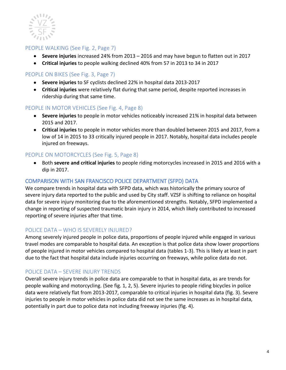

#### <span id="page-3-0"></span>PEOPLE WALKING (See Fig. 2, Page 7)

- **Severe injuries** increased 24% from 2013 2016 and may have begun to flatten out in 2017
- **Critical injuries** to people walking declined 40% from 57 in 2013 to 34 in 2017

#### <span id="page-3-1"></span>PEOPLE ON BIKES (See Fig. 3, Page 7)

- **Severe injuries** to SF cyclists declined 22% in hospital data 2013-2017
- **Critical injuries** were relatively flat during that same period, despite reported increases in ridership during that same time.

#### <span id="page-3-2"></span>PEOPLE IN MOTOR VEHICLES (See Fig. 4, Page 8)

- **Severe injuries** to people in motor vehicles noticeably increased 21% in hospital data between 2015 and 2017.
- **Critical injuries** to people in motor vehicles more than doubled between 2015 and 2017, from a low of 14 in 2015 to 33 critically injured people in 2017. Notably, hospital data includes people injured on freeways.

#### <span id="page-3-3"></span>PEOPLE ON MOTORCYCLES (See Fig. 5, Page 8)

 Both **severe and critical injuries** to people riding motorcycles increased in 2015 and 2016 with a dip in 2017.

#### <span id="page-3-4"></span>COMPARISON WITH SAN FRANCISCO POLICE DEPARTMENT (SFPD) DATA

We compare trends in hospital data with SFPD data, which was historically the primary source of severe injury data reported to the public and used by City staff. VZSF is shifting to reliance on hospital data for severe injury monitoring due to the aforementioned strengths. Notably, SFPD implemented a change in reporting of suspected traumatic brain injury in 2014, which likely contributed to increased reporting of severe injuries after that time.

#### <span id="page-3-5"></span>POLICE DATA – WHO IS SEVERELY INJURED?

Among severely injured people in police data, proportions of people injured while engaged in various travel modes are comparable to hospital data. An exception is that police data show lower proportions of people injured in motor vehicles compared to hospital data (tables 1-3). This is likely at least in part due to the fact that hospital data include injuries occurring on freeways, while police data do not.

#### <span id="page-3-6"></span>POLICE DATA – SEVERE INJURY TRENDS

Overall severe injury trends in police data are comparable to that in hospital data, as are trends for people walking and motorcycling. (See fig. 1, 2, 5). Severe injuries to people riding bicycles in police data were relatively flat from 2013-2017, comparable to critical injuries in hospital data (fig. 3). Severe injuries to people in motor vehicles in police data did not see the same increases as in hospital data, potentially in part due to police data not including freeway injuries (fig. 4).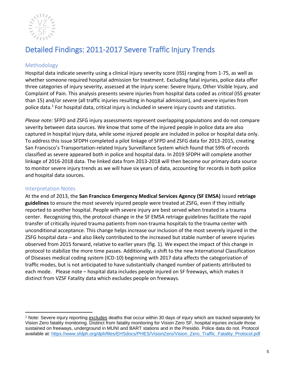

# <span id="page-4-0"></span>Detailed Findings: 2011-2017 Severe Traffic Injury Trends

#### <span id="page-4-1"></span>Methodology

Hospital data indicate severity using a clinical injury severity score (ISS) ranging from 1-75, as well as whether someone required hospital admission for treatment. Excluding fatal injuries, police data offer three categories of injury severity, assessed at the injury scene: Severe Injury, Other Visible Injury, and Complaint of Pain. This analysis presents severe injuries from hospital data coded as *critical* (ISS greater than 15) and/or *severe* (all traffic injuries resulting in hospital admission), and severe injuries from police data. <sup>1</sup> For hospital data, critical injury is included in severe injury counts and statistics.

*Please note:* SFPD and ZSFG injury assessments represent overlapping populations and do not compare severity between data sources. We know that some of the injured people in police data are also captured in hospital injury data, while some injured people are included in police or hospital data only. To address this issue SFDPH completed a pilot linkage of SFPD and ZSFG data for 2013-2015, creating San Francisco's [Transportation-related Injury Surveillance System](http://visionzeronetwork.org/wp-content/uploads/2016/04/DPH_TISS.pdf) which found that 59% of records classified as severe appeared both in police and hospital data. In 2019 SFDPH will complete another linkage of 2016-2018 data. The linked data from 2013-2018 will then become our primary data source to monitor severe injury trends as we will have six years of data, accounting for records in both police and hospital data sources.

#### <span id="page-4-2"></span>Interpretation Notes

At the end of 2013, the **San Francisco Emergency Medical Services Agency (SF EMSA)** issued **retriage guidelines** to ensure the most severely injured people were treated at ZSFG, even if they initially reported to another hospital. People with severe injury are best served when treated in a trauma center. Recognizing this, the protocol change in the SF EMSA retriage guidelines facilitate the rapid transfer of critically injured trauma patients from non-trauma hospitals to the trauma center with unconditional acceptance. This change helps increase our inclusion of the most severely injured in the ZSFG hospital data – and also likely contributed to the increased but stable number of severe injuries observed from 2015 forward, relative to earlier years (fig. 1). We expect the impact of this change in protocol to stabilize the more time passes. Additionally, a shift to the new International Classification of Diseases medical coding system (ICD-10) beginning with 2017 data affects the categorization of traffic modes, but is not anticipated to have substantially changed number of patients attributed to each mode. Please note – hospital data includes people injured on SF freeways, which makes it distinct from VZSF Fatality data which excludes people on freeways.

 $\overline{a}$ <sup>1</sup> Note: Severe injury reporting excludes deaths that occur within 30 days of injury which are tracked separately for Vision Zero fatality monitoring. Distinct from fatality monitoring for Vision Zero SF, hospital injuries *include* those sustained on freeways, underground in MUNI and BART stations and in the Presidio. Police data do not. Protocol available at: [https://www.sfdph.org/dph/files/EHSdocs/PHES/VisionZero/Vision\\_Zero\\_Traffic\\_Fatality\\_Protocol.pdf](https://www.sfdph.org/dph/files/EHSdocs/PHES/VisionZero/Vision_Zero_Traffic_Fatality_Protocol.pdf)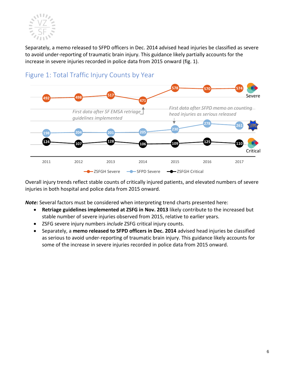

Separately, a memo released to SFPD officers in Dec. 2014 advised head injuries be classified as severe to avoid under-reporting of traumatic brain injury. This guidance likely partially accounts for the increase in severe injuries recorded in police data from 2015 onward (fig. 1).



## <span id="page-5-0"></span>Figure 1: Total Traffic Injury Counts by Year

Overall injury trends reflect stable counts of critically injured patients, and elevated numbers of severe injuries in both hospital and police data from 2015 onward.

*Note:* Several factors must be considered when interpreting trend charts presented here:

- **Retriage guidelines implemented at ZSFG in Nov. 2013** likely contribute to the increased but stable number of severe injuries observed from 2015, relative to earlier years.
- ZSFG severe injury numbers *include* ZSFG critical injury counts.
- Separately, a **memo released to SFPD officers in Dec. 2014** advised head injuries be classified as serious to avoid under-reporting of traumatic brain injury. This guidance likely accounts for some of the increase in severe injuries recorded in police data from 2015 onward.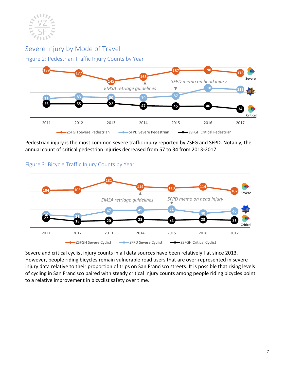

### <span id="page-6-0"></span>Severe Injury by Mode of Travel

<span id="page-6-1"></span>Figure 2: Pedestrian Traffic Injury Counts by Year



Pedestrian injury is the most common severe traffic injury reported by ZSFG and SFPD. Notably, the annual count of critical pedestrian injuries decreased from 57 to 34 from 2013-2017.



#### <span id="page-6-2"></span>Figure 3: Bicycle Traffic Injury Counts by Year

Severe and critical cyclist injury counts in all data sources have been relatively flat since 2013. However, people riding bicycles remain vulnerable road users that are over-represented in severe injury data relative to their proportion of trips on San Francisco streets. It is possible that rising levels of cycling in San Francisco paired with steady critical injury counts among people riding bicycles point to a relative improvement in bicyclist safety over time.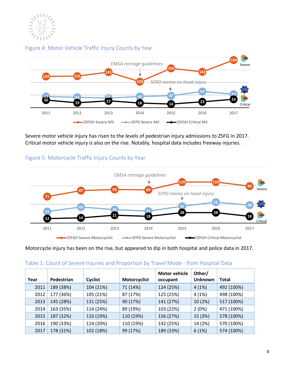

#### <span id="page-7-0"></span>Figure 4: Motor Vehicle Traffic Injury Counts by Year



Severe motor vehicle injury has risen to the levels of pedestrian injury admissions to ZSFG in 2017. Critical motor vehicle injury is also on the rise. Notably, hospital data includes freeway injuries.

#### <span id="page-7-1"></span>Figure 5: Motorcycle Traffic Injury Counts by Year



Motorcycle injury has been on the rise, but appeared to dip in both hospital and police data in 2017.

| Year | Pedestrian | Cyclist   | <b>Motorcyclist</b> | <b>Motor vehicle</b><br>occupant | Other/<br><b>Unknown</b> | <b>Total</b> |
|------|------------|-----------|---------------------|----------------------------------|--------------------------|--------------|
| 2011 | 189 (38%)  | 104 (21%) | 71 (14%)            | 124 (25%)                        | 4(1%)                    | 492 (100%)   |
| 2012 | 177 (36%)  | 105 (21%) | 87 (17%)            | 125 (25%)                        | 4(1%)                    | 498 (100%)   |
| 2013 | 145 (28%)  | 131 (25%) | 90 (17%)            | 141 (27%)                        | 10 (2%)                  | 517 (100%)   |
| 2014 | 163 (35%)  | 114 (24%) | 89 (19%)            | 103 (22%)                        | 2(0%)                    | 471 (100%)   |
| 2015 | 187 (32%)  | 110 (19%) | 110 (19%)           | 156 (27%)                        | 15 (3%)                  | 578 (100%)   |
| 2016 | 190 (33%)  | 114 (20%) | 110 (19%)           | 142 (25%)                        | 14 (2%)                  | 570 (100%)   |
| 2017 | 178 (31%)  | 102 (18%) | 99 (17%)            | 189 (33%)                        | 6(1%)                    | 574 (100%)   |

#### <span id="page-7-2"></span>Table 1: Count of Severe Injuries and Proportion by Travel Mode - from Hospital Data